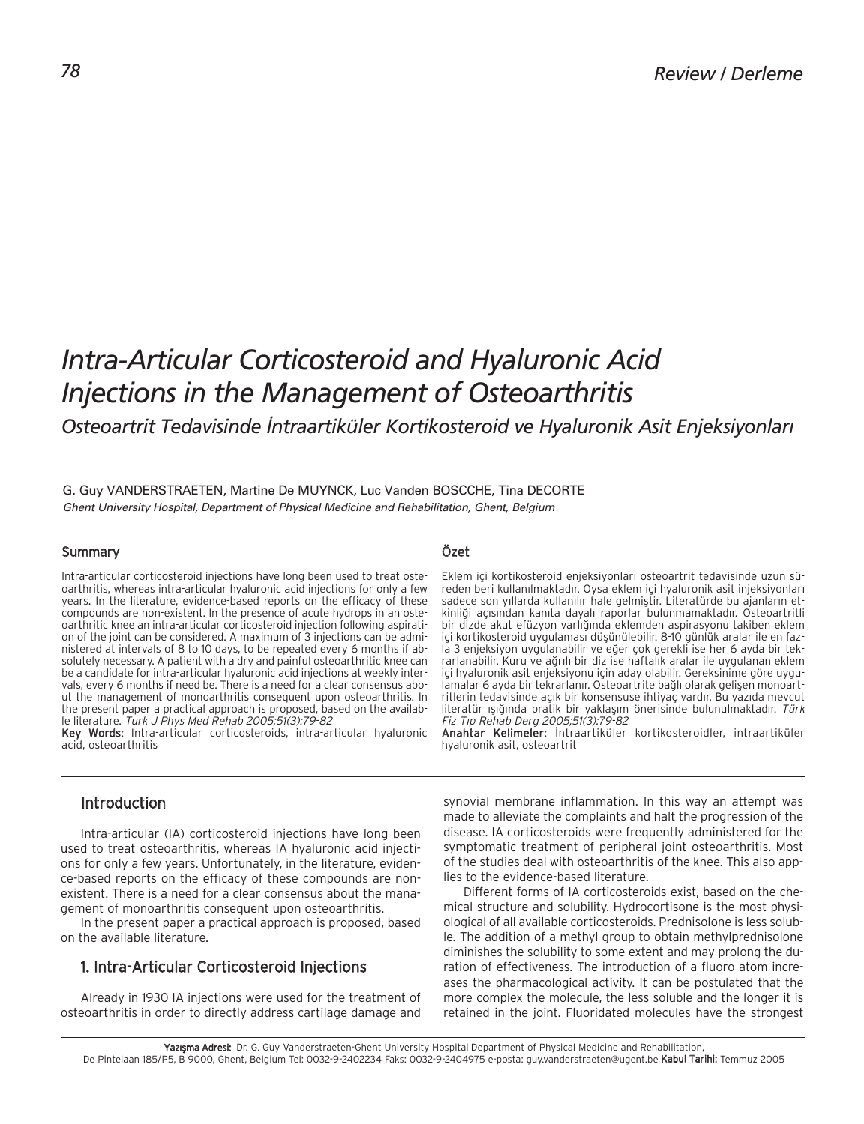# *Intra-Articular Corticosteroid and Hyaluronic Acid Injections in the Management of Osteoarthritis*

Osteoartrit Tedavisinde İntraartiküler Kortikosteroid ve Hyaluronik Asit Enjeksiyonları

## G. Guy VANDERSTRAETEN, Martine De MUYNCK, Luc Vanden BOSCCHE, Tina DECORTE Ghent University Hospital, Department of Physical Medicine and Rehabilitation, Ghent, Belgium

## Summary

Intra-articular corticosteroid injections have long been used to treat osteoarthritis, whereas intra-articular hyaluronic acid injections for only a few years. In the literature, evidence-based reports on the efficacy of these compounds are non-existent. In the presence of acute hydrops in an osteoarthritic knee an intra-articular corticosteroid injection following aspiration of the joint can be considered. A maximum of 3 injections can be administered at intervals of 8 to 10 days, to be repeated every 6 months if absolutely necessary. A patient with a dry and painful osteoarthritic knee can be a candidate for intra-articular hyaluronic acid injections at weekly intervals, every 6 months if need be. There is a need for a clear consensus about the management of monoarthritis consequent upon osteoarthritis. In the present paper a practical approach is proposed, based on the available literature. Turk J Phys Med Rehab 2005;51(3):79-82

Key Words: Intra-articular corticosteroids, intra-articular hyaluronic acid, osteoarthritis

## Özet

Eklem içi kortikosteroid enjeksiyonları osteoartrit tedavisinde uzun süreden beri kullanılmaktadır. Oysa eklem içi hyaluronik asit injeksiyonları sadece son yıllarda kullanılır hale gelmiştir. Literatürde bu ajanların etkinliği açısından kanıta dayalı raporlar bulunmamaktadır. Osteoartritli bir dizde akut efüzyon varlığında eklemden aspirasyonu takiben eklem içi kortikosteroid uygulaması düşünülebilir. 8-10 günlük aralar ile en fazla 3 enjeksiyon uygulanabilir ve eğer çok gerekli ise her 6 ayda bir tekrarlanabilir. Kuru ve ağrılı bir diz ise haftalık aralar ile uygulanan eklem içi hyaluronik asit enjeksiyonu için aday olabilir. Gereksinime göre uygulamalar 6 ayda bir tekrarlanır. Osteoartrite bağlı olarak gelişen monoartritlerin tedavisinde açık bir konsensuse ihtiyaç vardır. Bu yazıda mevcut literatür ışığında pratik bir yaklaşım önerisinde bulunulmaktadır. Türk Fiz T›p Rehab Derg 2005;51(3):79-82

Anahtar Kelimeler: Intraartiküler kortikosteroidler, intraartiküler hyaluronik asit, osteoartrit

## Introduction

Intra-articular (IA) corticosteroid injections have long been used to treat osteoarthritis, whereas IA hyaluronic acid injections for only a few years. Unfortunately, in the literature, evidence-based reports on the efficacy of these compounds are nonexistent. There is a need for a clear consensus about the management of monoarthritis consequent upon osteoarthritis.

In the present paper a practical approach is proposed, based on the available literature.

# 1. Intra-Articular Corticosteroid Injections

Already in 1930 IA injections were used for the treatment of osteoarthritis in order to directly address cartilage damage and synovial membrane inflammation. In this way an attempt was made to alleviate the complaints and halt the progression of the disease. IA corticosteroids were frequently administered for the symptomatic treatment of peripheral joint osteoarthritis. Most of the studies deal with osteoarthritis of the knee. This also applies to the evidence-based literature.

Different forms of IA corticosteroids exist, based on the chemical structure and solubility. Hydrocortisone is the most physiological of all available corticosteroids. Prednisolone is less soluble. The addition of a methyl group to obtain methylprednisolone diminishes the solubility to some extent and may prolong the duration of effectiveness. The introduction of a fluoro atom increases the pharmacological activity. It can be postulated that the more complex the molecule, the less soluble and the longer it is retained in the joint. Fluoridated molecules have the strongest

Yazışma Adresi: Dr. G. Guy Vanderstraeten-Ghent University Hospital Department of Physical Medicine and Rehabilitation, De Pintelaan 185/P5, B 9000, Ghent, Belgium Tel: 0032-9-2402234 Faks: 0032-9-2404975 e-posta: guy.vanderstraeten@ugent.be Kabul Tarihi: Temmuz 2005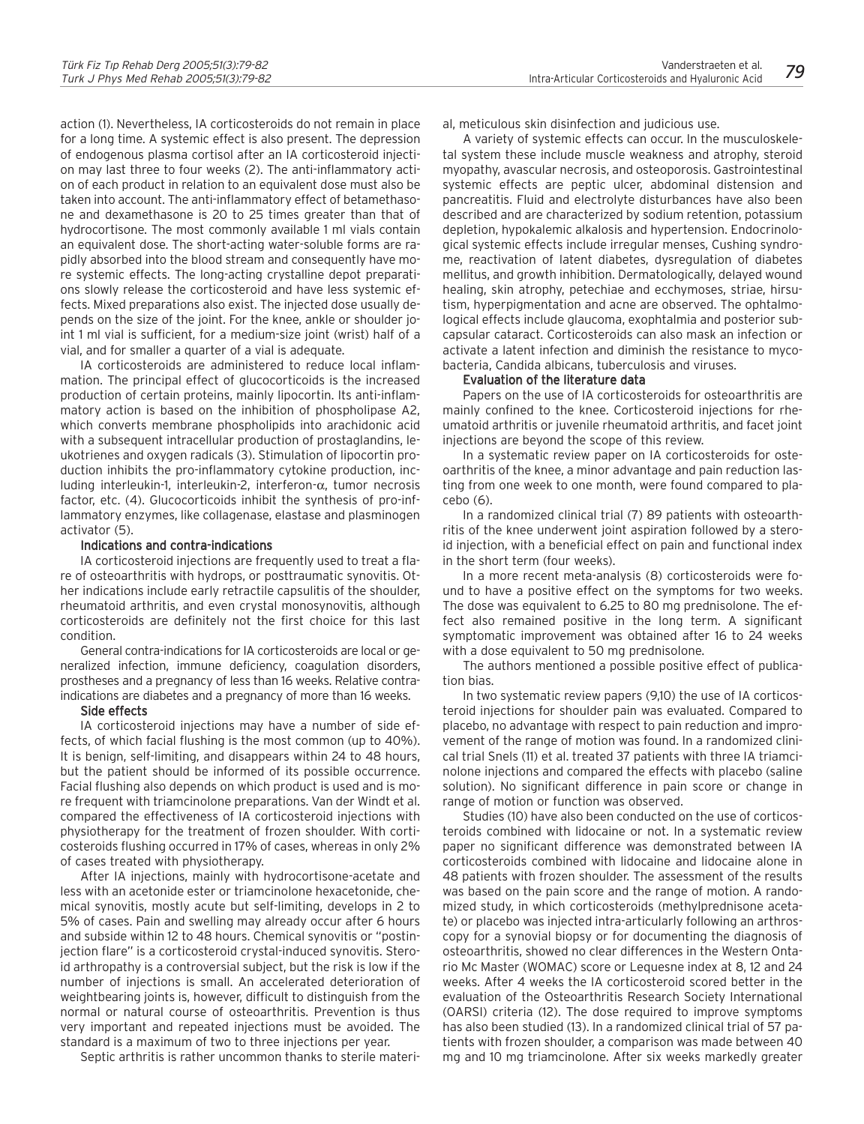action (1). Nevertheless, IA corticosteroids do not remain in place for a long time. A systemic effect is also present. The depression of endogenous plasma cortisol after an IA corticosteroid injection may last three to four weeks (2). The anti-inflammatory action of each product in relation to an equivalent dose must also be taken into account. The anti-inflammatory effect of betamethasone and dexamethasone is 20 to 25 times greater than that of hydrocortisone. The most commonly available 1 ml vials contain an equivalent dose. The short-acting water-soluble forms are rapidly absorbed into the blood stream and consequently have more systemic effects. The long-acting crystalline depot preparations slowly release the corticosteroid and have less systemic effects. Mixed preparations also exist. The injected dose usually depends on the size of the joint. For the knee, ankle or shoulder joint 1 ml vial is sufficient, for a medium-size joint (wrist) half of a vial, and for smaller a quarter of a vial is adequate.

IA corticosteroids are administered to reduce local inflammation. The principal effect of glucocorticoids is the increased production of certain proteins, mainly lipocortin. Its anti-inflammatory action is based on the inhibition of phospholipase A2, which converts membrane phospholipids into arachidonic acid with a subsequent intracellular production of prostaglandins, leukotrienes and oxygen radicals (3). Stimulation of lipocortin production inhibits the pro-inflammatory cytokine production, including interleukin-1, interleukin-2, interferon-α, tumor necrosis factor, etc. (4). Glucocorticoids inhibit the synthesis of pro-inflammatory enzymes, like collagenase, elastase and plasminogen activator (5).

#### Indications and contra-indications

IA corticosteroid injections are frequently used to treat a flare of osteoarthritis with hydrops, or posttraumatic synovitis. Other indications include early retractile capsulitis of the shoulder, rheumatoid arthritis, and even crystal monosynovitis, although corticosteroids are definitely not the first choice for this last condition.

General contra-indications for IA corticosteroids are local or generalized infection, immune deficiency, coagulation disorders, prostheses and a pregnancy of less than 16 weeks. Relative contraindications are diabetes and a pregnancy of more than 16 weeks.

#### Side effects

IA corticosteroid injections may have a number of side effects, of which facial flushing is the most common (up to 40%). It is benign, self-limiting, and disappears within 24 to 48 hours, but the patient should be informed of its possible occurrence. Facial flushing also depends on which product is used and is more frequent with triamcinolone preparations. Van der Windt et al. compared the effectiveness of IA corticosteroid injections with physiotherapy for the treatment of frozen shoulder. With corticosteroids flushing occurred in 17% of cases, whereas in only 2% of cases treated with physiotherapy.

After IA injections, mainly with hydrocortisone-acetate and less with an acetonide ester or triamcinolone hexacetonide, chemical synovitis, mostly acute but self-limiting, develops in 2 to 5% of cases. Pain and swelling may already occur after 6 hours and subside within 12 to 48 hours. Chemical synovitis or "postinjection flare" is a corticosteroid crystal-induced synovitis. Steroid arthropathy is a controversial subject, but the risk is low if the number of injections is small. An accelerated deterioration of weightbearing joints is, however, difficult to distinguish from the normal or natural course of osteoarthritis. Prevention is thus very important and repeated injections must be avoided. The standard is a maximum of two to three injections per year.

Septic arthritis is rather uncommon thanks to sterile materi-

al, meticulous skin disinfection and judicious use.

A variety of systemic effects can occur. In the musculoskeletal system these include muscle weakness and atrophy, steroid myopathy, avascular necrosis, and osteoporosis. Gastrointestinal systemic effects are peptic ulcer, abdominal distension and pancreatitis. Fluid and electrolyte disturbances have also been described and are characterized by sodium retention, potassium depletion, hypokalemic alkalosis and hypertension. Endocrinological systemic effects include irregular menses, Cushing syndrome, reactivation of latent diabetes, dysregulation of diabetes mellitus, and growth inhibition. Dermatologically, delayed wound healing, skin atrophy, petechiae and ecchymoses, striae, hirsutism, hyperpigmentation and acne are observed. The ophtalmological effects include glaucoma, exophtalmia and posterior subcapsular cataract. Corticosteroids can also mask an infection or activate a latent infection and diminish the resistance to mycobacteria, Candida albicans, tuberculosis and viruses.

#### Evaluation of the literature data

Papers on the use of IA corticosteroids for osteoarthritis are mainly confined to the knee. Corticosteroid injections for rheumatoid arthritis or juvenile rheumatoid arthritis, and facet joint injections are beyond the scope of this review.

In a systematic review paper on IA corticosteroids for osteoarthritis of the knee, a minor advantage and pain reduction lasting from one week to one month, were found compared to placebo (6).

In a randomized clinical trial (7) 89 patients with osteoarthritis of the knee underwent joint aspiration followed by a steroid injection, with a beneficial effect on pain and functional index in the short term (four weeks).

In a more recent meta-analysis (8) corticosteroids were found to have a positive effect on the symptoms for two weeks. The dose was equivalent to 6.25 to 80 mg prednisolone. The effect also remained positive in the long term. A significant symptomatic improvement was obtained after 16 to 24 weeks with a dose equivalent to 50 mg prednisolone.

The authors mentioned a possible positive effect of publication bias.

In two systematic review papers (9,10) the use of IA corticosteroid injections for shoulder pain was evaluated. Compared to placebo, no advantage with respect to pain reduction and improvement of the range of motion was found. In a randomized clinical trial Snels (11) et al. treated 37 patients with three IA triamcinolone injections and compared the effects with placebo (saline solution). No significant difference in pain score or change in range of motion or function was observed.

Studies (10) have also been conducted on the use of corticosteroids combined with lidocaine or not. In a systematic review paper no significant difference was demonstrated between IA corticosteroids combined with lidocaine and lidocaine alone in 48 patients with frozen shoulder. The assessment of the results was based on the pain score and the range of motion. A randomized study, in which corticosteroids (methylprednisone acetate) or placebo was injected intra-articularly following an arthroscopy for a synovial biopsy or for documenting the diagnosis of osteoarthritis, showed no clear differences in the Western Ontario Mc Master (WOMAC) score or Lequesne index at 8, 12 and 24 weeks. After 4 weeks the IA corticosteroid scored better in the evaluation of the Osteoarthritis Research Society International (OARSI) criteria (12). The dose required to improve symptoms has also been studied (13). In a randomized clinical trial of 57 patients with frozen shoulder, a comparison was made between 40 mg and 10 mg triamcinolone. After six weeks markedly greater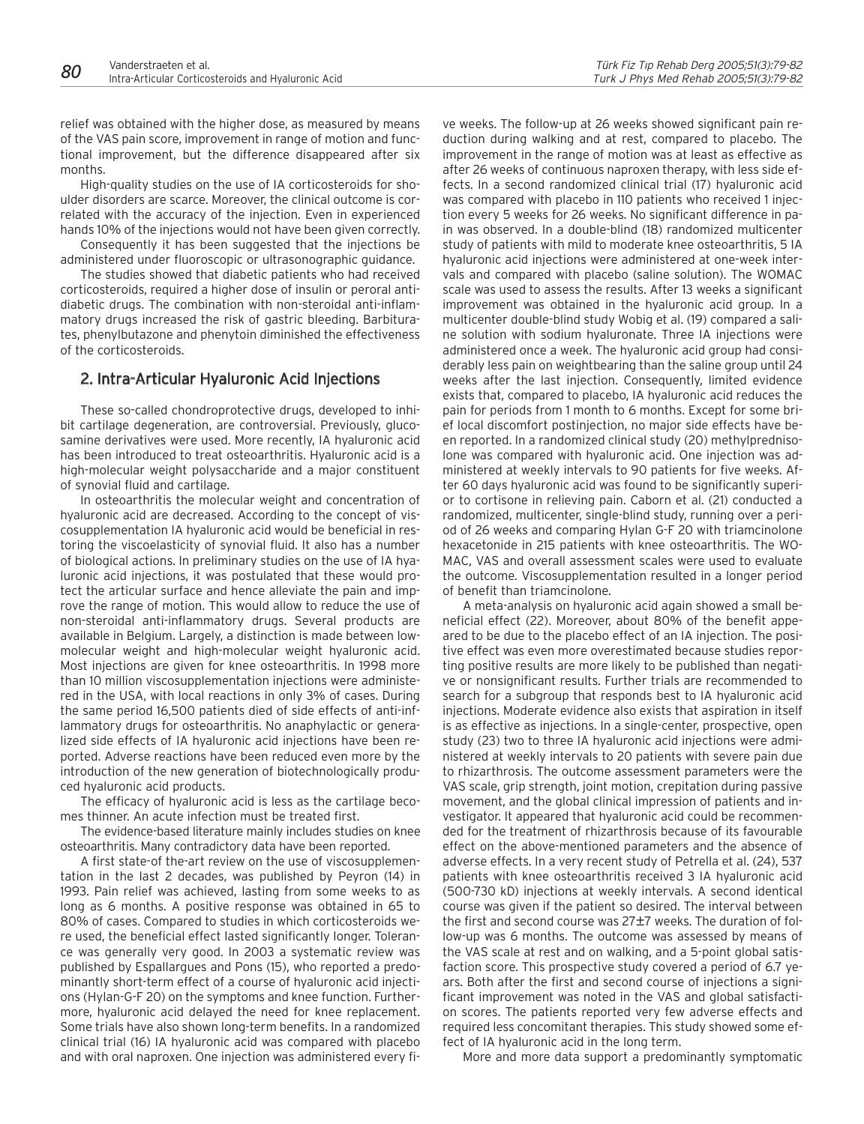relief was obtained with the higher dose, as measured by means of the VAS pain score, improvement in range of motion and functional improvement, but the difference disappeared after six months.

High-quality studies on the use of IA corticosteroids for shoulder disorders are scarce. Moreover, the clinical outcome is correlated with the accuracy of the injection. Even in experienced hands 10% of the injections would not have been given correctly.

Consequently it has been suggested that the injections be administered under fluoroscopic or ultrasonographic guidance.

The studies showed that diabetic patients who had received corticosteroids, required a higher dose of insulin or peroral antidiabetic drugs. The combination with non-steroidal anti-inflammatory drugs increased the risk of gastric bleeding. Barbiturates, phenylbutazone and phenytoin diminished the effectiveness of the corticosteroids.

# 2. Intra-Articular Hyaluronic Acid Injections

These so-called chondroprotective drugs, developed to inhibit cartilage degeneration, are controversial. Previously, glucosamine derivatives were used. More recently, IA hyaluronic acid has been introduced to treat osteoarthritis. Hyaluronic acid is a high-molecular weight polysaccharide and a major constituent of synovial fluid and cartilage.

In osteoarthritis the molecular weight and concentration of hyaluronic acid are decreased. According to the concept of viscosupplementation IA hyaluronic acid would be beneficial in restoring the viscoelasticity of synovial fluid. It also has a number of biological actions. In preliminary studies on the use of IA hyaluronic acid injections, it was postulated that these would protect the articular surface and hence alleviate the pain and improve the range of motion. This would allow to reduce the use of non-steroidal anti-inflammatory drugs. Several products are available in Belgium. Largely, a distinction is made between lowmolecular weight and high-molecular weight hyaluronic acid. Most injections are given for knee osteoarthritis. In 1998 more than 10 million viscosupplementation injections were administered in the USA, with local reactions in only 3% of cases. During the same period 16,500 patients died of side effects of anti-inflammatory drugs for osteoarthritis. No anaphylactic or generalized side effects of IA hyaluronic acid injections have been reported. Adverse reactions have been reduced even more by the introduction of the new generation of biotechnologically produced hyaluronic acid products.

The efficacy of hyaluronic acid is less as the cartilage becomes thinner. An acute infection must be treated first.

The evidence-based literature mainly includes studies on knee osteoarthritis. Many contradictory data have been reported.

A first state-of the-art review on the use of viscosupplementation in the last 2 decades, was published by Peyron (14) in 1993. Pain relief was achieved, lasting from some weeks to as long as 6 months. A positive response was obtained in 65 to 80% of cases. Compared to studies in which corticosteroids were used, the beneficial effect lasted significantly longer. Tolerance was generally very good. In 2003 a systematic review was published by Espallargues and Pons (15), who reported a predominantly short-term effect of a course of hyaluronic acid injections (Hylan-G-F 20) on the symptoms and knee function. Furthermore, hyaluronic acid delayed the need for knee replacement. Some trials have also shown long-term benefits. In a randomized clinical trial (16) IA hyaluronic acid was compared with placebo and with oral naproxen. One injection was administered every fi-

ve weeks. The follow-up at 26 weeks showed significant pain reduction during walking and at rest, compared to placebo. The improvement in the range of motion was at least as effective as after 26 weeks of continuous naproxen therapy, with less side effects. In a second randomized clinical trial (17) hyaluronic acid was compared with placebo in 110 patients who received 1 injection every 5 weeks for 26 weeks. No significant difference in pain was observed. In a double-blind (18) randomized multicenter study of patients with mild to moderate knee osteoarthritis, 5 IA hyaluronic acid injections were administered at one-week intervals and compared with placebo (saline solution). The WOMAC scale was used to assess the results. After 13 weeks a significant improvement was obtained in the hyaluronic acid group. In a multicenter double-blind study Wobig et al. (19) compared a saline solution with sodium hyaluronate. Three IA injections were administered once a week. The hyaluronic acid group had considerably less pain on weightbearing than the saline group until 24 weeks after the last injection. Consequently, limited evidence exists that, compared to placebo, IA hyaluronic acid reduces the pain for periods from 1 month to 6 months. Except for some brief local discomfort postinjection, no major side effects have been reported. In a randomized clinical study (20) methylprednisolone was compared with hyaluronic acid. One injection was administered at weekly intervals to 90 patients for five weeks. After 60 days hyaluronic acid was found to be significantly superior to cortisone in relieving pain. Caborn et al. (21) conducted a randomized, multicenter, single-blind study, running over a period of 26 weeks and comparing Hylan G-F 20 with triamcinolone hexacetonide in 215 patients with knee osteoarthritis. The WO-MAC, VAS and overall assessment scales were used to evaluate the outcome. Viscosupplementation resulted in a longer period of benefit than triamcinolone.

A meta-analysis on hyaluronic acid again showed a small beneficial effect (22). Moreover, about 80% of the benefit appeared to be due to the placebo effect of an IA injection. The positive effect was even more overestimated because studies reporting positive results are more likely to be published than negative or nonsignificant results. Further trials are recommended to search for a subgroup that responds best to IA hyaluronic acid injections. Moderate evidence also exists that aspiration in itself is as effective as injections. In a single-center, prospective, open study (23) two to three IA hyaluronic acid injections were administered at weekly intervals to 20 patients with severe pain due to rhizarthrosis. The outcome assessment parameters were the VAS scale, grip strength, joint motion, crepitation during passive movement, and the global clinical impression of patients and investigator. It appeared that hyaluronic acid could be recommended for the treatment of rhizarthrosis because of its favourable effect on the above-mentioned parameters and the absence of adverse effects. In a very recent study of Petrella et al. (24), 537 patients with knee osteoarthritis received 3 IA hyaluronic acid (500-730 kD) injections at weekly intervals. A second identical course was given if the patient so desired. The interval between the first and second course was 27±7 weeks. The duration of follow-up was 6 months. The outcome was assessed by means of the VAS scale at rest and on walking, and a 5-point global satisfaction score. This prospective study covered a period of 6.7 years. Both after the first and second course of injections a significant improvement was noted in the VAS and global satisfaction scores. The patients reported very few adverse effects and required less concomitant therapies. This study showed some effect of IA hyaluronic acid in the long term.

More and more data support a predominantly symptomatic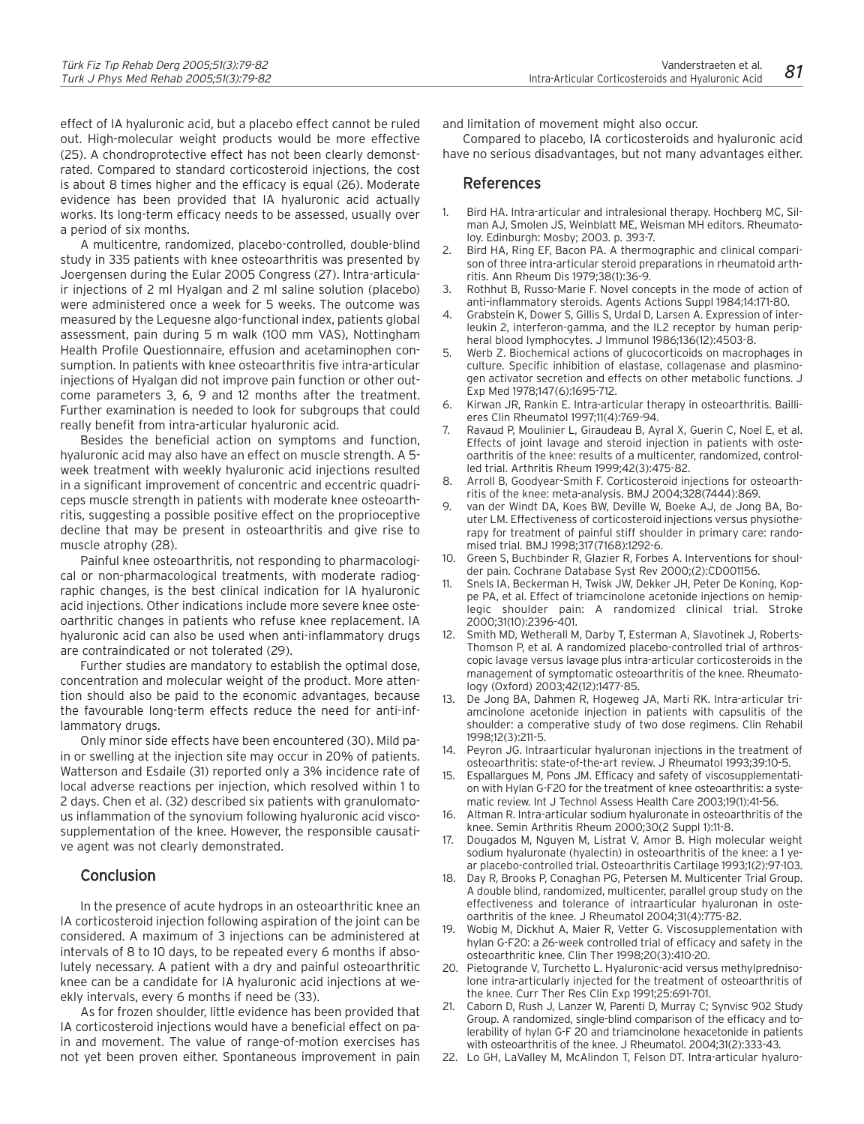effect of IA hyaluronic acid, but a placebo effect cannot be ruled out. High-molecular weight products would be more effective (25). A chondroprotective effect has not been clearly demonstrated. Compared to standard corticosteroid injections, the cost is about 8 times higher and the efficacy is equal (26). Moderate evidence has been provided that IA hyaluronic acid actually works. Its long-term efficacy needs to be assessed, usually over a period of six months.

A multicentre, randomized, placebo-controlled, double-blind study in 335 patients with knee osteoarthritis was presented by Joergensen during the Eular 2005 Congress (27). Intra-articulair injections of 2 ml Hyalgan and 2 ml saline solution (placebo) were administered once a week for 5 weeks. The outcome was measured by the Lequesne algo-functional index, patients global assessment, pain during 5 m walk (100 mm VAS), Nottingham Health Profile Questionnaire, effusion and acetaminophen consumption. In patients with knee osteoarthritis five intra-articular injections of Hyalgan did not improve pain function or other outcome parameters 3, 6, 9 and 12 months after the treatment. Further examination is needed to look for subgroups that could really benefit from intra-articular hyaluronic acid.

Besides the beneficial action on symptoms and function, hyaluronic acid may also have an effect on muscle strength. A 5 week treatment with weekly hyaluronic acid injections resulted in a significant improvement of concentric and eccentric quadriceps muscle strength in patients with moderate knee osteoarthritis, suggesting a possible positive effect on the proprioceptive decline that may be present in osteoarthritis and give rise to muscle atrophy (28).

Painful knee osteoarthritis, not responding to pharmacological or non-pharmacological treatments, with moderate radiographic changes, is the best clinical indication for IA hyaluronic acid injections. Other indications include more severe knee osteoarthritic changes in patients who refuse knee replacement. IA hyaluronic acid can also be used when anti-inflammatory drugs are contraindicated or not tolerated (29).

Further studies are mandatory to establish the optimal dose, concentration and molecular weight of the product. More attention should also be paid to the economic advantages, because the favourable long-term effects reduce the need for anti-inflammatory drugs.

Only minor side effects have been encountered (30). Mild pain or swelling at the injection site may occur in 20% of patients. Watterson and Esdaile (31) reported only a 3% incidence rate of local adverse reactions per injection, which resolved within 1 to 2 days. Chen et al. (32) described six patients with granulomatous inflammation of the synovium following hyaluronic acid viscosupplementation of the knee. However, the responsible causative agent was not clearly demonstrated.

## **Conclusion**

In the presence of acute hydrops in an osteoarthritic knee an IA corticosteroid injection following aspiration of the joint can be considered. A maximum of 3 injections can be administered at intervals of 8 to 10 days, to be repeated every 6 months if absolutely necessary. A patient with a dry and painful osteoarthritic knee can be a candidate for IA hyaluronic acid injections at weekly intervals, every 6 months if need be (33).

As for frozen shoulder, little evidence has been provided that IA corticosteroid injections would have a beneficial effect on pain and movement. The value of range-of-motion exercises has not yet been proven either. Spontaneous improvement in pain

and limitation of movement might also occur.

Compared to placebo, IA corticosteroids and hyaluronic acid have no serious disadvantages, but not many advantages either.

## References

- 1. Bird HA. Intra-articular and intralesional therapy. Hochberg MC, Silman AJ, Smolen JS, Weinblatt ME, Weisman MH editors. Rheumatoloy. Edinburgh: Mosby; 2003. p. 393-7.
- 2. Bird HA, Ring EF, Bacon PA. A thermographic and clinical comparison of three intra-articular steroid preparations in rheumatoid arthritis. Ann Rheum Dis 1979;38(1):36-9.
- 3. Rothhut B, Russo-Marie F. Novel concepts in the mode of action of anti-inflammatory steroids. Agents Actions Suppl 1984;14:171-80.
- 4. Grabstein K, Dower S, Gillis S, Urdal D, Larsen A. Expression of interleukin 2, interferon-gamma, and the IL2 receptor by human peripheral blood lymphocytes. J Immunol 1986;136(12):4503-8.
- 5. Werb Z. Biochemical actions of glucocorticoids on macrophages in culture. Specific inhibition of elastase, collagenase and plasminogen activator secretion and effects on other metabolic functions. J Exp Med 1978;147(6):1695-712.
- 6. Kirwan JR, Rankin E. Intra-articular therapy in osteoarthritis. Baillieres Clin Rheumatol 1997;11(4):769-94.
- 7. Ravaud P, Moulinier L, Giraudeau B, Ayral X, Guerin C, Noel E, et al. Effects of joint lavage and steroid injection in patients with osteoarthritis of the knee: results of a multicenter, randomized, controlled trial. Arthritis Rheum 1999;42(3):475-82.
- 8. Arroll B, Goodyear-Smith F. Corticosteroid injections for osteoarthritis of the knee: meta-analysis. BMJ 2004;328(7444):869.
- 9. van der Windt DA, Koes BW, Deville W, Boeke AJ, de Jong BA, Bouter LM. Effectiveness of corticosteroid injections versus physiotherapy for treatment of painful stiff shoulder in primary care: randomised trial. BMJ 1998;317(7168):1292-6.
- 10. Green S, Buchbinder R, Glazier R, Forbes A. Interventions for shoulder pain. Cochrane Database Syst Rev 2000;(2):CD001156.
- 11. Snels IA, Beckerman H, Twisk JW, Dekker JH, Peter De Koning, Koppe PA, et al. Effect of triamcinolone acetonide injections on hemiplegic shoulder pain: A randomized clinical trial. Stroke 2000;31(10):2396-401.
- 12. Smith MD, Wetherall M, Darby T, Esterman A, Slavotinek J, Roberts-Thomson P, et al. A randomized placebo-controlled trial of arthroscopic lavage versus lavage plus intra-articular corticosteroids in the management of symptomatic osteoarthritis of the knee. Rheumatology (Oxford) 2003;42(12):1477-85.
- 13. De Jong BA, Dahmen R, Hogeweg JA, Marti RK. Intra-articular triamcinolone acetonide injection in patients with capsulitis of the shoulder: a comperative study of two dose regimens. Clin Rehabil 1998;12(3):211-5.
- 14. Peyron JG. Intraarticular hyaluronan injections in the treatment of osteoarthritis: state-of-the-art review. J Rheumatol 1993;39:10-5.
- 15. Espallargues M, Pons JM. Efficacy and safety of viscosupplementation with Hylan G-F20 for the treatment of knee osteoarthritis: a systematic review. Int J Technol Assess Health Care 2003;19(1):41-56.
- 16. Altman R. Intra-articular sodium hyaluronate in osteoarthritis of the knee. Semin Arthritis Rheum 2000;30(2 Suppl 1):11-8.
- 17. Dougados M, Nguyen M, Listrat V, Amor B. High molecular weight sodium hyaluronate (hyalectin) in osteoarthritis of the knee: a 1 year placebo-controlled trial. Osteoarthritis Cartilage 1993;1(2):97-103.
- 18. Day R, Brooks P, Conaghan PG, Petersen M. Multicenter Trial Group. A double blind, randomized, multicenter, parallel group study on the effectiveness and tolerance of intraarticular hyaluronan in osteoarthritis of the knee. J Rheumatol 2004;31(4):775-82.
- 19. Wobig M, Dickhut A, Maier R, Vetter G. Viscosupplementation with hylan G-F20: a 26-week controlled trial of efficacy and safety in the osteoarthritic knee. Clin Ther 1998;20(3):410-20.
- 20. Pietogrande V, Turchetto L. Hyaluronic-acid versus methylprednisolone intra-articularly injected for the treatment of osteoarthritis of the knee. Curr Ther Res Clin Exp 1991;25:691-701.
- 21. Caborn D, Rush J, Lanzer W, Parenti D, Murray C; Synvisc 902 Study Group. A randomized, single-blind comparison of the efficacy and tolerability of hylan G-F 20 and triamcinolone hexacetonide in patients with osteoarthritis of the knee. J Rheumatol. 2004;31(2):333-43.
- 22. Lo GH, LaValley M, McAlindon T, Felson DT. Intra-articular hyaluro-